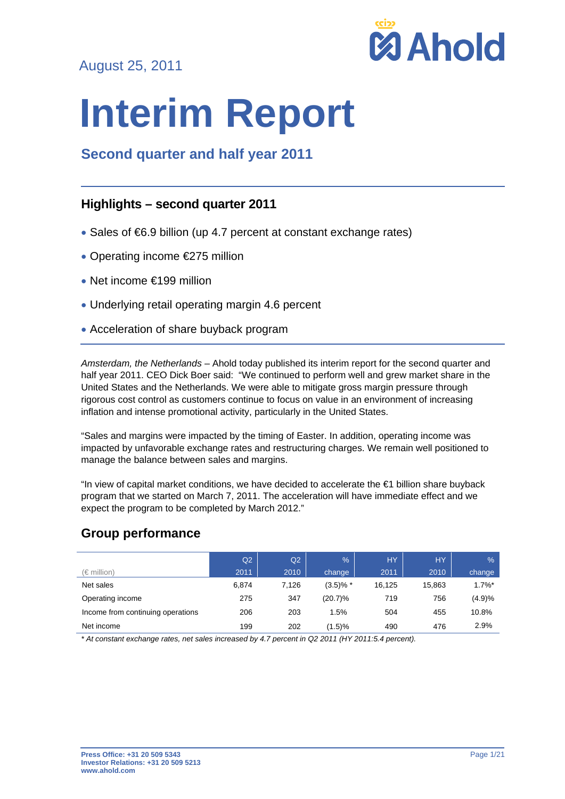August 25, 2011



# **Interim Report**

# **Second quarter and half year 2011**

# **Highlights – second quarter 2011**

- Sales of €6.9 billion (up 4.7 percent at constant exchange rates)
- Operating income €275 million
- Net income €199 million
- Underlying retail operating margin 4.6 percent
- Acceleration of share buyback program

*Amsterdam, the Netherlands* – Ahold today published its interim report for the second quarter and half year 2011. CEO Dick Boer said: "We continued to perform well and grew market share in the United States and the Netherlands. We were able to mitigate gross margin pressure through rigorous cost control as customers continue to focus on value in an environment of increasing inflation and intense promotional activity, particularly in the United States.

"Sales and margins were impacted by the timing of Easter. In addition, operating income was impacted by unfavorable exchange rates and restructuring charges. We remain well positioned to manage the balance between sales and margins.

"In view of capital market conditions, we have decided to accelerate the €1 billion share buyback program that we started on March 7, 2011. The acceleration will have immediate effect and we expect the program to be completed by March 2012."

# **Group performance**

|                                   | Q2    | Q2    | $\%$          | <b>HY</b> | <b>HY</b> | $\frac{9}{6}$ |
|-----------------------------------|-------|-------|---------------|-----------|-----------|---------------|
| $(\in$ million)                   | 2011  | 2010  | change        | 2011      | 2010      | change        |
| Net sales                         | 6.874 | 7,126 | $(3.5)$ % $*$ | 16.125    | 15.863    | $1.7\%$ *     |
| Operating income                  | 275   | 347   | $(20.7)\%$    | 719       | 756       | (4.9)%        |
| Income from continuing operations | 206   | 203   | 1.5%          | 504       | 455       | 10.8%         |
| Net income                        | 199   | 202   | (1.5)%        | 490       | 476       | 2.9%          |

*\* At constant exchange rates, net sales increased by 4.7 percent in Q2 2011 (HY 2011:5.4 percent).*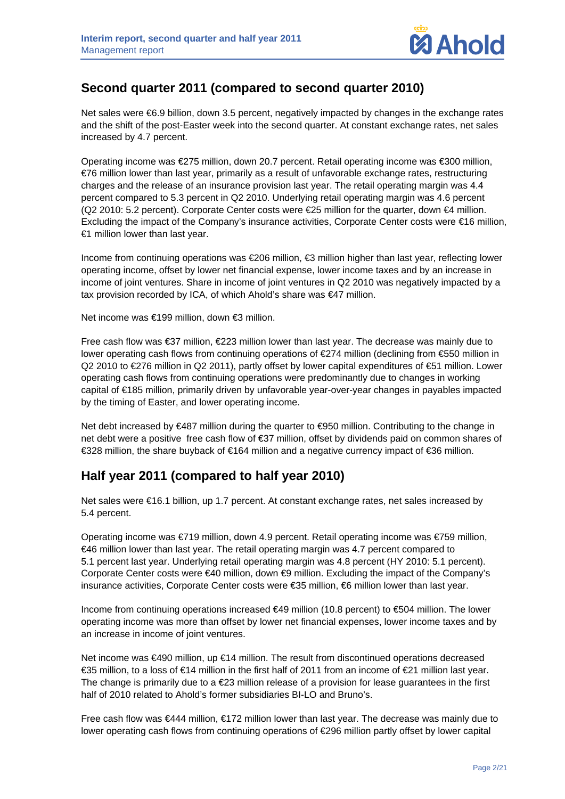# **Second quarter 2011 (compared to second quarter 2010)**

Net sales were €6.9 billion, down 3.5 percent, negatively impacted by changes in the exchange rates and the shift of the post-Easter week into the second quarter. At constant exchange rates, net sales increased by 4.7 percent.

Operating income was €275 million, down 20.7 percent. Retail operating income was €300 million, €76 million lower than last year, primarily as a result of unfavorable exchange rates, restructuring charges and the release of an insurance provision last year. The retail operating margin was 4.4 percent compared to 5.3 percent in Q2 2010. Underlying retail operating margin was 4.6 percent (Q2 2010: 5.2 percent). Corporate Center costs were €25 million for the quarter, down €4 million. Excluding the impact of the Company's insurance activities, Corporate Center costs were €16 million, €1 million lower than last year.

Income from continuing operations was €206 million, €3 million higher than last year, reflecting lower operating income, offset by lower net financial expense, lower income taxes and by an increase in income of joint ventures. Share in income of joint ventures in Q2 2010 was negatively impacted by a tax provision recorded by ICA, of which Ahold's share was €47 million.

Net income was €199 million, down €3 million.

Free cash flow was €37 million, €223 million lower than last year. The decrease was mainly due to lower operating cash flows from continuing operations of €274 million (declining from €550 million in Q2 2010 to €276 million in Q2 2011), partly offset by lower capital expenditures of €51 million. Lower operating cash flows from continuing operations were predominantly due to changes in working capital of €185 million, primarily driven by unfavorable year-over-year changes in payables impacted by the timing of Easter, and lower operating income.

Net debt increased by €487 million during the quarter to €950 million. Contributing to the change in net debt were a positive free cash flow of €37 million, offset by dividends paid on common shares of €328 million, the share buyback of €164 million and a negative currency impact of €36 million.

# **Half year 2011 (compared to half year 2010)**

Net sales were €16.1 billion, up 1.7 percent. At constant exchange rates, net sales increased by 5.4 percent.

Operating income was €719 million, down 4.9 percent. Retail operating income was €759 million, €46 million lower than last year. The retail operating margin was 4.7 percent compared to 5.1 percent last year. Underlying retail operating margin was 4.8 percent (HY 2010: 5.1 percent). Corporate Center costs were €40 million, down €9 million. Excluding the impact of the Company's insurance activities, Corporate Center costs were €35 million, €6 million lower than last year.

Income from continuing operations increased €49 million (10.8 percent) to €504 million. The lower operating income was more than offset by lower net financial expenses, lower income taxes and by an increase in income of joint ventures.

Net income was €490 million, up €14 million. The result from discontinued operations decreased €35 million, to a loss of €14 million in the first half of 2011 from an income of €21 million last year. The change is primarily due to a €23 million release of a provision for lease guarantees in the first half of 2010 related to Ahold's former subsidiaries BI-LO and Bruno's.

Free cash flow was €444 million, €172 million lower than last year. The decrease was mainly due to lower operating cash flows from continuing operations of €296 million partly offset by lower capital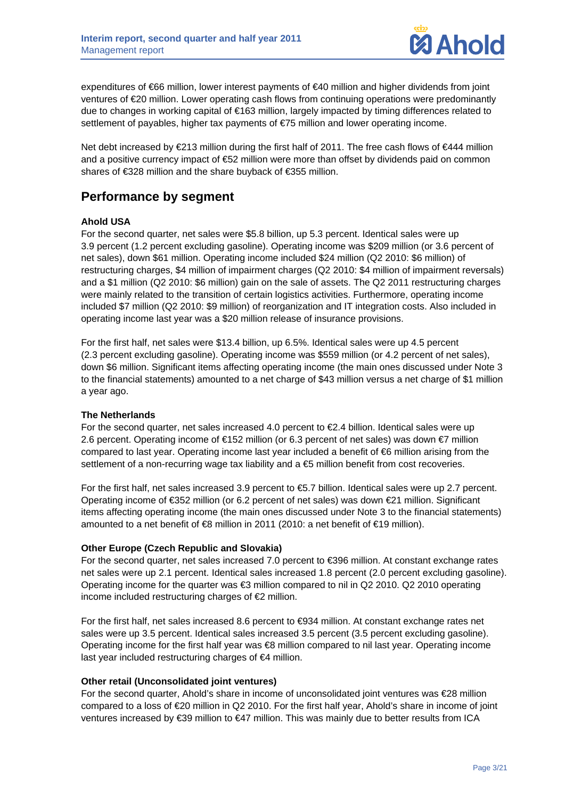

expenditures of €66 million, lower interest payments of €40 million and higher dividends from joint ventures of €20 million. Lower operating cash flows from continuing operations were predominantly due to changes in working capital of €163 million, largely impacted by timing differences related to settlement of payables, higher tax payments of €75 million and lower operating income.

Net debt increased by €213 million during the first half of 2011. The free cash flows of €444 million and a positive currency impact of €52 million were more than offset by dividends paid on common shares of €328 million and the share buyback of €355 million.

# **Performance by segment**

## **Ahold USA**

For the second quarter, net sales were \$5.8 billion, up 5.3 percent. Identical sales were up 3.9 percent (1.2 percent excluding gasoline). Operating income was \$209 million (or 3.6 percent of net sales), down \$61 million. Operating income included \$24 million (Q2 2010: \$6 million) of restructuring charges, \$4 million of impairment charges (Q2 2010: \$4 million of impairment reversals) and a \$1 million (Q2 2010: \$6 million) gain on the sale of assets. The Q2 2011 restructuring charges were mainly related to the transition of certain logistics activities. Furthermore, operating income included \$7 million (Q2 2010: \$9 million) of reorganization and IT integration costs. Also included in operating income last year was a \$20 million release of insurance provisions.

For the first half, net sales were \$13.4 billion, up 6.5%. Identical sales were up 4.5 percent (2.3 percent excluding gasoline). Operating income was \$559 million (or 4.2 percent of net sales), down \$6 million. Significant items affecting operating income (the main ones discussed under Note 3 to the financial statements) amounted to a net charge of \$43 million versus a net charge of \$1 million a year ago.

## **The Netherlands**

For the second quarter, net sales increased 4.0 percent to  $E$ , 4 billion. Identical sales were up 2.6 percent. Operating income of €152 million (or 6.3 percent of net sales) was down €7 million compared to last year. Operating income last year included a benefit of €6 million arising from the settlement of a non-recurring wage tax liability and a  $$\bigoplus$  million benefit from cost recoveries.$ 

For the first half, net sales increased 3.9 percent to €5.7 billion. Identical sales were up 2.7 percent. Operating income of €352 million (or 6.2 percent of net sales) was down €21 million. Significant items affecting operating income (the main ones discussed under Note 3 to the financial statements) amounted to a net benefit of €8 million in 2011 (2010: a net benefit of €19 million).

## **Other Europe (Czech Republic and Slovakia)**

For the second quarter, net sales increased 7.0 percent to €396 million. At constant exchange rates net sales were up 2.1 percent. Identical sales increased 1.8 percent (2.0 percent excluding gasoline). Operating income for the quarter was €3 million compared to nil in Q2 2010. Q2 2010 operating income included restructuring charges of €2 million.

For the first half, net sales increased 8.6 percent to €934 million. At constant exchange rates net sales were up 3.5 percent. Identical sales increased 3.5 percent (3.5 percent excluding gasoline). Operating income for the first half year was €8 million compared to nil last year. Operating income last year included restructuring charges of €4 million.

## **Other retail (Unconsolidated joint ventures)**

For the second quarter, Ahold's share in income of unconsolidated joint ventures was €28 million compared to a loss of €20 million in Q2 2010. For the first half year, Ahold's share in income of joint ventures increased by €39 million to €47 million. This was mainly due to better results from ICA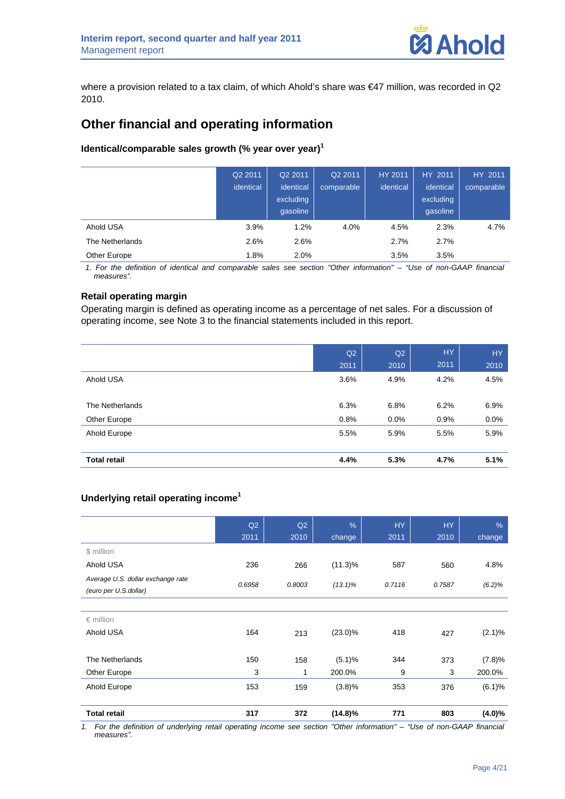where a provision related to a tax claim, of which Ahold's share was €47 million, was recorded in Q2 2010.

# **Other financial and operating information**

## **Identical/comparable sales growth (% year over year)<sup>1</sup>**

|                 | Q2 2011<br>identical | Q2 2011<br>identical<br>excluding<br>gasoline | Q2 2011<br>comparable | HY 2011<br>identical | HY 2011<br>identical<br>excluding<br>gasoline | HY 2011<br>comparable |
|-----------------|----------------------|-----------------------------------------------|-----------------------|----------------------|-----------------------------------------------|-----------------------|
| Ahold USA       | 3.9%                 | 1.2%                                          | 4.0%                  | 4.5%                 | 2.3%                                          | 4.7%                  |
| The Netherlands | 2.6%                 | 2.6%                                          |                       | 2.7%                 | 2.7%                                          |                       |
| Other Europe    | 1.8%                 | 2.0%                                          |                       | 3.5%                 | 3.5%                                          |                       |

*1. For the definition of identical and comparable sales see section "Other information" – "Use of non-GAAP financial measures".* 

## **Retail operating margin**

Operating margin is defined as operating income as a percentage of net sales. For a discussion of operating income, see Note 3 to the financial statements included in this report.

|                     | Q2   | Q2   | <b>HY</b> | HY.     |
|---------------------|------|------|-----------|---------|
|                     | 2011 | 2010 | 2011      | 2010    |
| Ahold USA           | 3.6% | 4.9% | 4.2%      | 4.5%    |
|                     |      |      |           |         |
| The Netherlands     | 6.3% | 6.8% | 6.2%      | 6.9%    |
| Other Europe        | 0.8% | 0.0% | 0.9%      | $0.0\%$ |
| Ahold Europe        | 5.5% | 5.9% | 5.5%      | 5.9%    |
|                     |      |      |           |         |
| <b>Total retail</b> | 4.4% | 5.3% | 4.7%      | 5.1%    |

## **Underlying retail operating income<sup>1</sup>**

|                                                            | Q2     | Q2     | $\frac{9}{6}$ | <b>HY</b> | <b>HY</b> | %         |
|------------------------------------------------------------|--------|--------|---------------|-----------|-----------|-----------|
|                                                            | 2011   | 2010   | change        | 2011      | 2010      | change    |
| \$ million                                                 |        |        |               |           |           |           |
| Ahold USA                                                  | 236    | 266    | $(11.3)\%$    | 587       | 560       | 4.8%      |
| Average U.S. dollar exchange rate<br>(euro per U.S.dollar) | 0.6958 | 0.8003 | $(13.1)\%$    | 0.7116    | 0.7587    | (6.2)%    |
|                                                            |        |        |               |           |           |           |
| $\epsilon$ million                                         |        |        |               |           |           |           |
| Ahold USA                                                  | 164    | 213    | $(23.0)\%$    | 418       | 427       | $(2.1)\%$ |
| The Netherlands                                            | 150    | 158    | (5.1)%        | 344       | 373       | (7.8)%    |
| Other Europe                                               | 3      | 1      | 200.0%        | 9         | 3         | 200.0%    |
| Ahold Europe                                               | 153    | 159    | (3.8)%        | 353       | 376       | (6.1)%    |
| <b>Total retail</b>                                        | 317    | 372    | $(14.8)\%$    | 771       | 803       | $(4.0)\%$ |

*1. For the definition of underlying retail operating income see section "Other information" – "Use of non-GAAP financial measures".*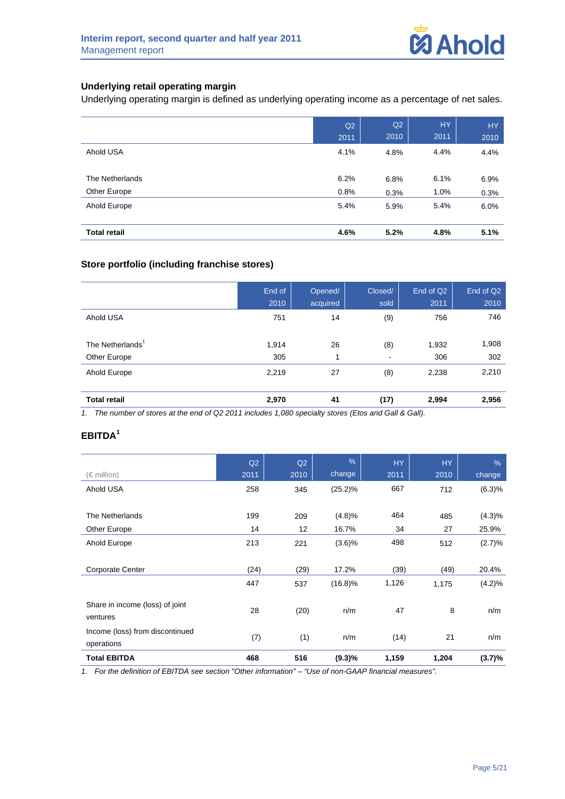## **Underlying retail operating margin**

Underlying operating margin is defined as underlying operating income as a percentage of net sales.

|                     | Q2   | Q2   | HY.  | HY.  |
|---------------------|------|------|------|------|
|                     | 2011 | 2010 | 2011 | 2010 |
| Ahold USA           | 4.1% | 4.8% | 4.4% | 4.4% |
|                     |      |      |      |      |
| The Netherlands     | 6.2% | 6.8% | 6.1% | 6.9% |
| Other Europe        | 0.8% | 0.3% | 1.0% | 0.3% |
| Ahold Europe        | 5.4% | 5.9% | 5.4% | 6.0% |
|                     |      |      |      |      |
| <b>Total retail</b> | 4.6% | 5.2% | 4.8% | 5.1% |

## **Store portfolio (including franchise stores)**

|                              | End of<br>2010 | Opened/<br>acquired | Closed/<br>sold          | End of Q2<br>2011 | End of Q2<br>2010 |
|------------------------------|----------------|---------------------|--------------------------|-------------------|-------------------|
| Ahold USA                    | 751            | 14                  | (9)                      | 756               | 746               |
| The Netherlands <sup>1</sup> | 1,914          | 26                  | (8)                      | 1,932             | 1,908             |
| Other Europe                 | 305            | и                   | $\overline{\phantom{a}}$ | 306               | 302               |
| Ahold Europe                 | 2,219          | 27                  | (8)                      | 2,238             | 2,210             |

**Total retail 2,970 41 (17) 2,994 2,956** 

*1. The number of stores at the end of Q2 2011 includes 1,080 specialty stores (Etos and Gall & Gall).* 

## **EBITDA<sup>1</sup>**

|                                               | Q2   | Q2   | $\frac{0}{6}$ | <b>HY</b> | <b>HY</b> | $\frac{9}{6}$ |
|-----------------------------------------------|------|------|---------------|-----------|-----------|---------------|
| $(\in$ million)                               | 2011 | 2010 | change        | 2011      | 2010      | change        |
| Ahold USA                                     | 258  | 345  | $(25.2)\%$    | 667       | 712       | (6.3)%        |
|                                               |      |      |               |           |           |               |
| The Netherlands                               | 199  | 209  | (4.8)%        | 464       | 485       | (4.3)%        |
| Other Europe                                  | 14   | 12   | 16.7%         | 34        | 27        | 25.9%         |
| Ahold Europe                                  | 213  | 221  | (3.6)%        | 498       | 512       | (2.7)%        |
|                                               |      |      |               |           |           |               |
| <b>Corporate Center</b>                       | (24) | (29) | 17.2%         | (39)      | (49)      | 20.4%         |
|                                               | 447  | 537  | $(16.8)\%$    | 1,126     | 1,175     | (4.2)%        |
| Share in income (loss) of joint<br>ventures   | 28   | (20) | n/m           | 47        | 8         | n/m           |
| Income (loss) from discontinued<br>operations | (7)  | (1)  | n/m           | (14)      | 21        | n/m           |
| <b>Total EBITDA</b>                           | 468  | 516  | (9.3)%        | 1,159     | 1,204     | (3.7)%        |

*1. For the definition of EBITDA see section "Other information" – "Use of non-GAAP financial measures".*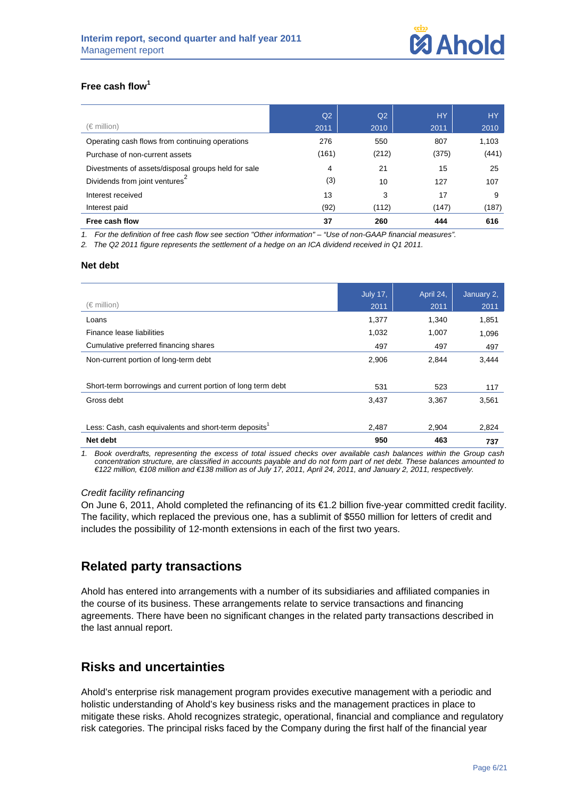## **Free cash flow<sup>1</sup>**

|                                                     | Q <sub>2</sub> | Q <sub>2</sub> | <b>HY</b> | <b>HY</b> |
|-----------------------------------------------------|----------------|----------------|-----------|-----------|
| $(\in$ million)                                     | 2011           | 2010           | 2011      | 2010      |
| Operating cash flows from continuing operations     | 276            | 550            | 807       | 1,103     |
| Purchase of non-current assets                      | (161)          | (212)          | (375)     | (441)     |
| Divestments of assets/disposal groups held for sale | 4              | 21             | 15        | 25        |
| Dividends from joint ventures <sup>4</sup>          | (3)            | 10             | 127       | 107       |
| Interest received                                   | 13             | 3              | 17        | 9         |
| Interest paid                                       | (92)           | (112)          | (147)     | (187)     |
| Free cash flow                                      | 37             | 260            | 444       | 616       |

*1. For the definition of free cash flow see section "Other information" – "Use of non-GAAP financial measures".* 

*2. The Q2 2011 figure represents the settlement of a hedge on an ICA dividend received in Q1 2011.* 

#### **Net debt**

| <b>July 17,</b> | April 24, | January 2, |
|-----------------|-----------|------------|
| 2011            | 2011      | 2011       |
| 1,377           | 1,340     | 1,851      |
| 1,032           | 1,007     | 1,096      |
| 497             | 497       | 497        |
| 2,906           | 2,844     | 3,444      |
|                 |           |            |
| 531             | 523       | 117        |
| 3,437           | 3,367     | 3,561      |
|                 |           |            |
| 2,487           | 2,904     | 2,824      |
| 950             | 463       | 737        |
|                 |           |            |

*1. Book overdrafts, representing the excess of total issued checks over available cash balances within the Group cash concentration structure, are classified in accounts payable and do not form part of net debt. These balances amounted to €122 million, €108 million and €138 million as of July 17, 2011, April 24, 2011, and January 2, 2011, respectively.* 

## *Credit facility refinancing*

On June 6, 2011, Ahold completed the refinancing of its €1.2 billion five-year committed credit facility. The facility, which replaced the previous one, has a sublimit of \$550 million for letters of credit and includes the possibility of 12-month extensions in each of the first two years.

# **Related party transactions**

Ahold has entered into arrangements with a number of its subsidiaries and affiliated companies in the course of its business. These arrangements relate to service transactions and financing agreements. There have been no significant changes in the related party transactions described in the last annual report.

# **Risks and uncertainties**

Ahold's enterprise risk management program provides executive management with a periodic and holistic understanding of Ahold's key business risks and the management practices in place to mitigate these risks. Ahold recognizes strategic, operational, financial and compliance and regulatory risk categories. The principal risks faced by the Company during the first half of the financial year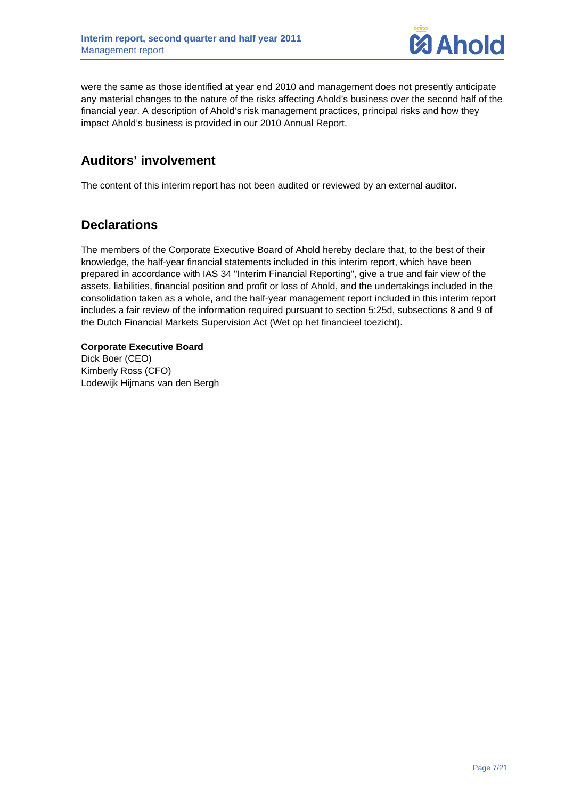

were the same as those identified at year end 2010 and management does not presently anticipate any material changes to the nature of the risks affecting Ahold's business over the second half of the financial year. A description of Ahold's risk management practices, principal risks and how they impact Ahold's business is provided in our 2010 Annual Report.

# **Auditors' involvement**

The content of this interim report has not been audited or reviewed by an external auditor.

# **Declarations**

The members of the Corporate Executive Board of Ahold hereby declare that, to the best of their knowledge, the half-year financial statements included in this interim report, which have been prepared in accordance with IAS 34 "Interim Financial Reporting", give a true and fair view of the assets, liabilities, financial position and profit or loss of Ahold, and the undertakings included in the consolidation taken as a whole, and the half-year management report included in this interim report includes a fair review of the information required pursuant to section 5:25d, subsections 8 and 9 of the Dutch Financial Markets Supervision Act (Wet op het financieel toezicht).

**Corporate Executive Board**  Dick Boer (CEO) Kimberly Ross (CFO) Lodewijk Hijmans van den Bergh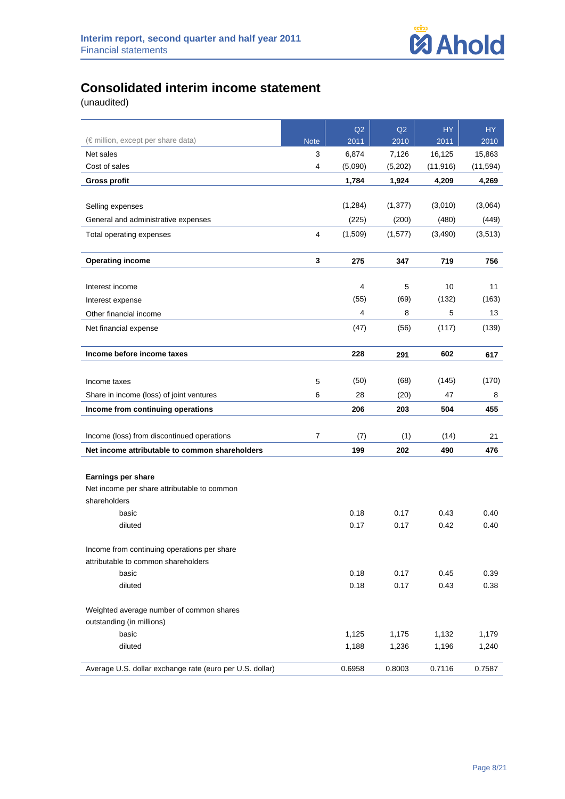

# **Consolidated interim income statement**

|                                                          |                | Q2           | Q2           | <b>HY</b>    | HY           |
|----------------------------------------------------------|----------------|--------------|--------------|--------------|--------------|
| (€ million, except per share data)                       | <b>Note</b>    | 2011         | 2010         | 2011         | 2010         |
| Net sales                                                | 3              | 6,874        | 7,126        | 16,125       | 15,863       |
| Cost of sales                                            | 4              | (5,090)      | (5,202)      | (11, 916)    | (11, 594)    |
| <b>Gross profit</b>                                      |                | 1,784        | 1,924        | 4.209        | 4,269        |
|                                                          |                |              |              |              |              |
| Selling expenses                                         |                | (1,284)      | (1, 377)     | (3,010)      | (3,064)      |
| General and administrative expenses                      |                | (225)        | (200)        | (480)        | (449)        |
| Total operating expenses                                 | 4              | (1,509)      | (1,577)      | (3,490)      | (3,513)      |
|                                                          |                |              |              |              |              |
| <b>Operating income</b>                                  | 3              | 275          | 347          | 719          | 756          |
|                                                          |                |              |              |              |              |
| Interest income                                          |                | 4            | 5            | 10           | 11           |
| Interest expense                                         |                | (55)         | (69)         | (132)        | (163)        |
| Other financial income                                   |                | 4            | 8            | 5            | 13           |
| Net financial expense                                    |                | (47)         | (56)         | (117)        | (139)        |
|                                                          |                |              |              |              |              |
| Income before income taxes                               |                | 228          | 291          | 602          | 617          |
|                                                          |                |              |              |              |              |
| Income taxes                                             | 5              | (50)         | (68)         | (145)        | (170)        |
| Share in income (loss) of joint ventures                 | 6              | 28           | (20)         | 47           | 8            |
| Income from continuing operations                        |                | 206          | 203          | 504          | 455          |
|                                                          |                |              |              |              |              |
| Income (loss) from discontinued operations               | $\overline{7}$ | (7)          | (1)          | (14)         | 21           |
| Net income attributable to common shareholders           |                | 199          | 202          | 490          | 476          |
|                                                          |                |              |              |              |              |
| Earnings per share                                       |                |              |              |              |              |
| Net income per share attributable to common              |                |              |              |              |              |
| shareholders                                             |                |              |              |              |              |
| basic<br>diluted                                         |                | 0.18<br>0.17 | 0.17<br>0.17 | 0.43<br>0.42 | 0.40<br>0.40 |
|                                                          |                |              |              |              |              |
| Income from continuing operations per share              |                |              |              |              |              |
| attributable to common shareholders                      |                |              |              |              |              |
| basic                                                    |                | 0.18         | 0.17         | 0.45         | 0.39         |
| diluted                                                  |                | 0.18         | 0.17         | 0.43         | 0.38         |
|                                                          |                |              |              |              |              |
| Weighted average number of common shares                 |                |              |              |              |              |
| outstanding (in millions)                                |                |              |              |              |              |
| basic                                                    |                | 1,125        | 1,175        | 1,132        | 1,179        |
| diluted                                                  |                | 1,188        | 1,236        | 1,196        | 1,240        |
| Average U.S. dollar exchange rate (euro per U.S. dollar) |                | 0.6958       | 0.8003       | 0.7116       | 0.7587       |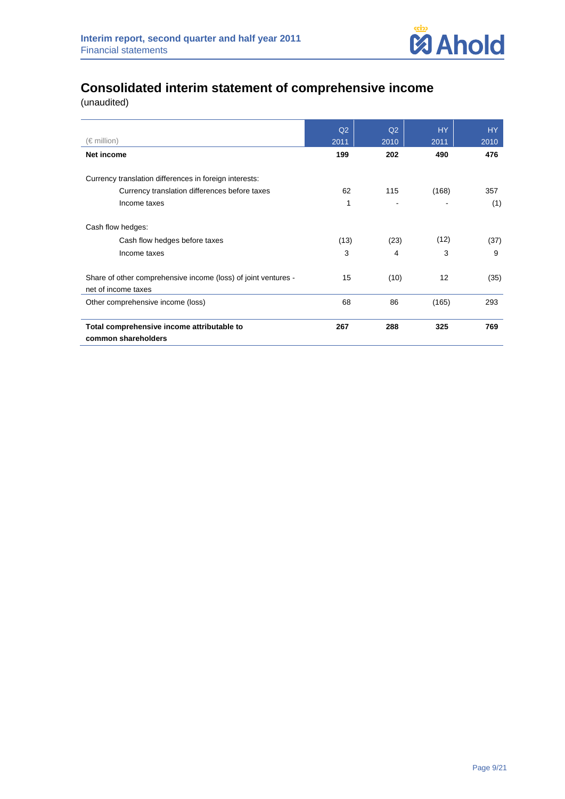

# **Consolidated interim statement of comprehensive income**

|                                                                                       | Q2   | Q2   | <b>HY</b> | HY.  |
|---------------------------------------------------------------------------------------|------|------|-----------|------|
| (€ million)                                                                           | 2011 | 2010 | 2011      | 2010 |
| Net income                                                                            | 199  | 202  | 490       | 476  |
| Currency translation differences in foreign interests:                                |      |      |           |      |
| Currency translation differences before taxes                                         | 62   | 115  | (168)     | 357  |
| Income taxes                                                                          | 1    |      |           | (1)  |
| Cash flow hedges:                                                                     |      |      |           |      |
| Cash flow hedges before taxes                                                         | (13) | (23) | (12)      | (37) |
| Income taxes                                                                          | 3    | 4    | 3         | 9    |
| Share of other comprehensive income (loss) of joint ventures -<br>net of income taxes | 15   | (10) | 12        | (35) |
| Other comprehensive income (loss)                                                     | 68   | 86   | (165)     | 293  |
| Total comprehensive income attributable to<br>common shareholders                     | 267  | 288  | 325       | 769  |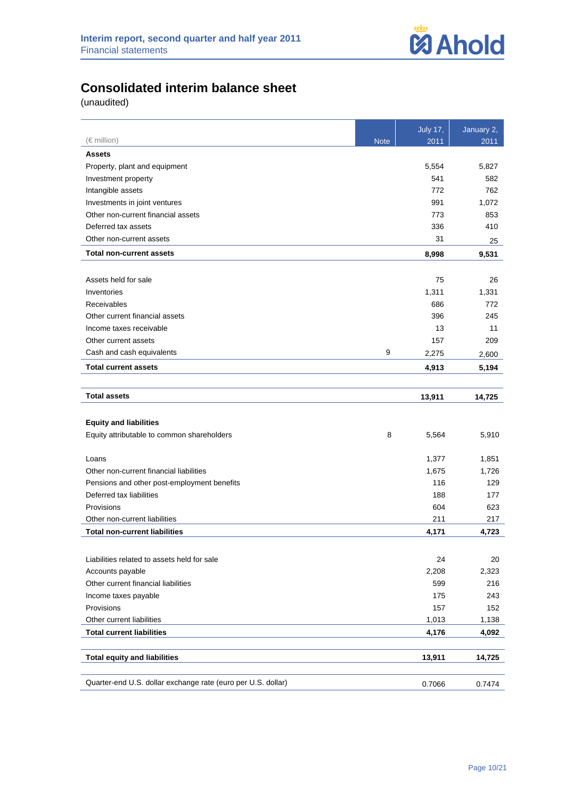

# **Consolidated interim balance sheet**

|                                                              |             | <b>July 17,</b> | January 2, |
|--------------------------------------------------------------|-------------|-----------------|------------|
| $(\in$ million)                                              | <b>Note</b> | 2011            | 2011       |
| <b>Assets</b>                                                |             |                 |            |
| Property, plant and equipment                                |             | 5,554           | 5,827      |
| Investment property                                          |             | 541             | 582        |
| Intangible assets                                            |             | 772             | 762        |
| Investments in joint ventures                                |             | 991             | 1,072      |
| Other non-current financial assets                           |             | 773             | 853        |
| Deferred tax assets                                          |             | 336             | 410        |
| Other non-current assets                                     |             | 31              | 25         |
| <b>Total non-current assets</b>                              |             | 8,998           | 9,531      |
|                                                              |             |                 |            |
| Assets held for sale                                         |             | 75              | 26         |
| Inventories                                                  |             | 1,311           | 1,331      |
| Receivables                                                  |             | 686             | 772        |
| Other current financial assets                               |             | 396             | 245        |
| Income taxes receivable                                      |             | 13              | 11         |
| Other current assets                                         |             | 157             | 209        |
| Cash and cash equivalents                                    | 9           | 2,275           | 2,600      |
| <b>Total current assets</b>                                  |             | 4,913           | 5,194      |
|                                                              |             |                 |            |
| <b>Total assets</b>                                          |             | 13,911          | 14,725     |
|                                                              |             |                 |            |
| <b>Equity and liabilities</b>                                |             |                 |            |
| Equity attributable to common shareholders                   | 8           | 5,564           | 5,910      |
| Loans                                                        |             | 1,377           | 1,851      |
| Other non-current financial liabilities                      |             | 1,675           | 1,726      |
| Pensions and other post-employment benefits                  |             | 116             | 129        |
| Deferred tax liabilities                                     |             | 188             | 177        |
| Provisions                                                   |             | 604             | 623        |
| Other non-current liabilities                                |             | 211             | 217        |
| <b>Total non-current liabilities</b>                         |             | 4,171           | 4,723      |
|                                                              |             |                 |            |
| Liabilities related to assets held for sale                  |             | 24              | 20         |
| Accounts payable                                             |             | 2,208           | 2,323      |
| Other current financial liabilities                          |             | 599             | 216        |
| Income taxes payable                                         |             | 175             | 243        |
| Provisions                                                   |             | 157             | 152        |
| Other current liabilities                                    |             | 1,013           | 1,138      |
| <b>Total current liabilities</b>                             |             | 4,176           | 4,092      |
|                                                              |             |                 |            |
| <b>Total equity and liabilities</b>                          |             | 13,911          | 14,725     |
| Quarter-end U.S. dollar exchange rate (euro per U.S. dollar) |             |                 |            |
|                                                              |             | 0.7066          | 0.7474     |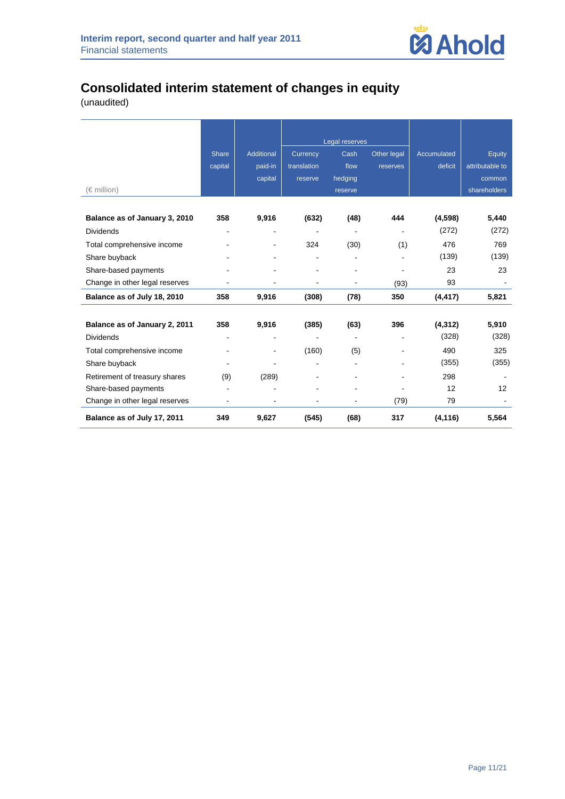

# **Consolidated interim statement of changes in equity**

|                                |              |            |                | Legal reserves |             |                    |                 |
|--------------------------------|--------------|------------|----------------|----------------|-------------|--------------------|-----------------|
|                                | <b>Share</b> | Additional | Currency       | Cash           | Other legal | <b>Accumulated</b> | Equity          |
|                                | capital      | paid-in    | translation    | flow           | reserves    | deficit            | attributable to |
|                                |              | capital    | reserve        | hedging        |             |                    | common          |
| (€ million)                    |              |            |                | reserve        |             |                    | shareholders    |
|                                |              |            |                |                |             |                    |                 |
| Balance as of January 3, 2010  | 358          | 9,916      | (632)          | (48)           | 444         | (4, 598)           | 5,440           |
| <b>Dividends</b>               |              |            |                |                |             | (272)              | (272)           |
| Total comprehensive income     |              |            | 324            | (30)           | (1)         | 476                | 769             |
| Share buyback                  |              |            |                |                |             | (139)              | (139)           |
| Share-based payments           |              |            |                |                |             | 23                 | 23              |
| Change in other legal reserves |              |            |                | $\overline{a}$ | (93)        | 93                 |                 |
| Balance as of July 18, 2010    | 358          | 9,916      | (308)          | (78)           | 350         | (4, 417)           | 5,821           |
|                                |              |            |                |                |             |                    |                 |
| Balance as of January 2, 2011  | 358          | 9,916      | (385)          | (63)           | 396         | (4, 312)           | 5,910           |
| <b>Dividends</b>               |              |            | $\blacksquare$ |                |             | (328)              | (328)           |
| Total comprehensive income     |              |            | (160)          | (5)            |             | 490                | 325             |
| Share buyback                  |              |            |                |                |             | (355)              | (355)           |
| Retirement of treasury shares  | (9)          | (289)      |                |                |             | 298                |                 |
| Share-based payments           | L,           |            |                |                |             | 12                 | 12              |
| Change in other legal reserves |              |            |                |                | (79)        | 79                 |                 |
| Balance as of July 17, 2011    | 349          | 9,627      | (545)          | (68)           | 317         | (4, 116)           | 5,564           |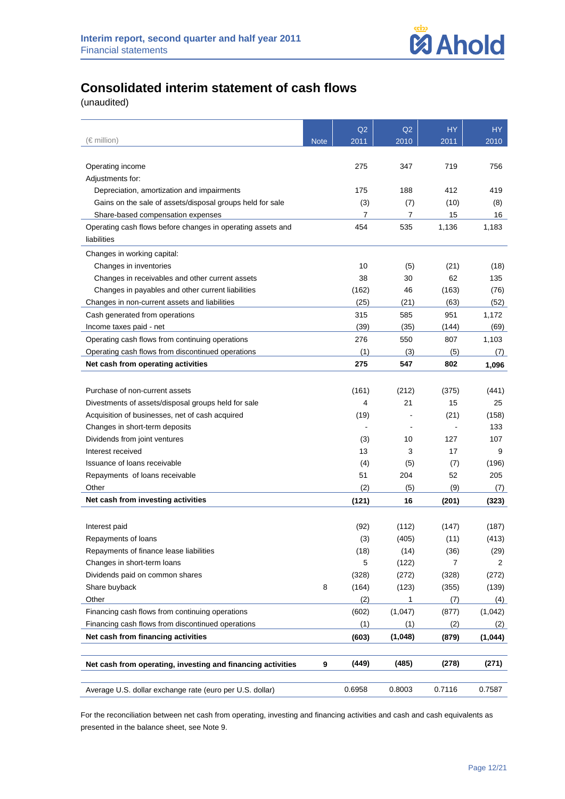# **Consolidated interim statement of cash flows**

(unaudited)

|                                                             |             | Q2          | Q2      | <b>HY</b>     | HY      |
|-------------------------------------------------------------|-------------|-------------|---------|---------------|---------|
| (€ million)                                                 | <b>Note</b> | 2011        | 2010    | 2011          | 2010    |
| Operating income                                            |             | 275         | 347     | 719           | 756     |
| Adjustments for:                                            |             |             |         |               |         |
| Depreciation, amortization and impairments                  |             | 175         | 188     | 412           | 419     |
| Gains on the sale of assets/disposal groups held for sale   |             | (3)         | (7)     | (10)          | (8)     |
| Share-based compensation expenses                           |             | 7           | 7       | 15            | 16      |
| Operating cash flows before changes in operating assets and |             | 454         | 535     | 1,136         | 1,183   |
| liabilities                                                 |             |             |         |               |         |
|                                                             |             |             |         |               |         |
| Changes in working capital:                                 |             |             |         |               |         |
| Changes in inventories                                      |             | 10          | (5)     | (21)          | (18)    |
| Changes in receivables and other current assets             |             | 38          | 30      | 62            | 135     |
| Changes in payables and other current liabilities           |             | (162)       | 46      | (163)         | (76)    |
| Changes in non-current assets and liabilities               |             | (25)        | (21)    | (63)          | (52)    |
| Cash generated from operations                              |             | 315         | 585     | 951           | 1,172   |
| Income taxes paid - net                                     |             | (39)        | (35)    | (144)         | (69)    |
| Operating cash flows from continuing operations             |             | 276         | 550     | 807           | 1,103   |
| Operating cash flows from discontinued operations           |             | (1)         | (3)     | (5)           | (7)     |
| Net cash from operating activities                          |             | 275         | 547     | 802           | 1,096   |
|                                                             |             |             |         |               |         |
| Purchase of non-current assets                              |             | (161)       | (212)   | (375)         | (441)   |
| Divestments of assets/disposal groups held for sale         |             | 4           | 21      | 15            | 25      |
| Acquisition of businesses, net of cash acquired             |             | (19)        |         | (21)          | (158)   |
| Changes in short-term deposits                              |             |             |         |               | 133     |
| Dividends from joint ventures                               |             | (3)         | 10      | 127           | 107     |
| Interest received                                           |             | 13          | 3       | 17            | 9       |
| Issuance of loans receivable                                |             | (4)         | (5)     | (7)           | (196)   |
| Repayments of loans receivable                              |             | 51          | 204     | 52            | 205     |
| Other                                                       |             | (2)         | (5)     | (9)           | (7)     |
| Net cash from investing activities                          |             | (121)       | 16      | (201)         | (323)   |
|                                                             |             |             |         |               |         |
|                                                             |             |             | (112)   |               |         |
| Interest paid                                               |             | (92)<br>(3) | (405)   | (147)<br>(11) | (187)   |
| Repayments of loans                                         |             |             |         |               | (413)   |
| Repayments of finance lease liabilities                     |             | (18)        | (14)    | (36)          | (29)    |
| Changes in short-term loans                                 |             | 5           | (122)   | 7             | 2       |
| Dividends paid on common shares                             |             | (328)       | (272)   | (328)         | (272)   |
| Share buyback                                               | 8           | (164)       | (123)   | (355)         | (139)   |
| Other                                                       |             | (2)         | 1       | (7)           | (4)     |
| Financing cash flows from continuing operations             |             | (602)       | (1,047) | (877)         | (1,042) |
| Financing cash flows from discontinued operations           |             | (1)         | (1)     | (2)           | (2)     |
| Net cash from financing activities                          |             | (603)       | (1,048) | (879)         | (1,044) |
| Net cash from operating, investing and financing activities | 9           | (449)       | (485)   | (278)         | (271)   |
|                                                             |             |             |         |               |         |
| Average U.S. dollar exchange rate (euro per U.S. dollar)    |             | 0.6958      | 0.8003  | 0.7116        | 0.7587  |

For the reconciliation between net cash from operating, investing and financing activities and cash and cash equivalents as presented in the balance sheet, see Note 9.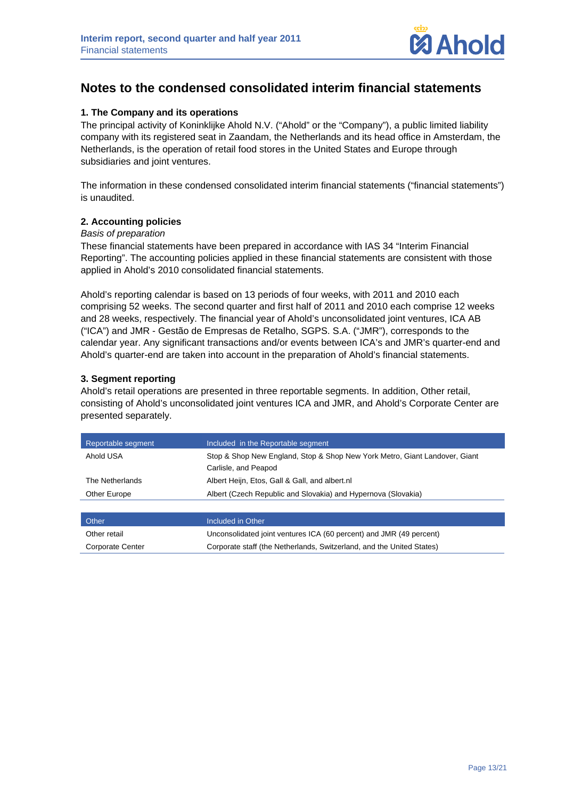

# **Notes to the condensed consolidated interim financial statements**

## **1. The Company and its operations**

The principal activity of Koninklijke Ahold N.V. ("Ahold" or the "Company"), a public limited liability company with its registered seat in Zaandam, the Netherlands and its head office in Amsterdam, the Netherlands, is the operation of retail food stores in the United States and Europe through subsidiaries and joint ventures.

The information in these condensed consolidated interim financial statements ("financial statements") is unaudited.

#### **2. Accounting policies**

#### *Basis of preparation*

These financial statements have been prepared in accordance with IAS 34 "Interim Financial Reporting". The accounting policies applied in these financial statements are consistent with those applied in Ahold's 2010 consolidated financial statements.

Ahold's reporting calendar is based on 13 periods of four weeks, with 2011 and 2010 each comprising 52 weeks. The second quarter and first half of 2011 and 2010 each comprise 12 weeks and 28 weeks, respectively. The financial year of Ahold's unconsolidated joint ventures, ICA AB ("ICA") and JMR - Gestão de Empresas de Retalho, SGPS. S.A. ("JMR"), corresponds to the calendar year. Any significant transactions and/or events between ICA's and JMR's quarter-end and Ahold's quarter-end are taken into account in the preparation of Ahold's financial statements.

#### **3. Segment reporting**

Ahold's retail operations are presented in three reportable segments. In addition, Other retail, consisting of Ahold's unconsolidated joint ventures ICA and JMR, and Ahold's Corporate Center are presented separately.

| Reportable segment | Included in the Reportable segment                                         |
|--------------------|----------------------------------------------------------------------------|
| Ahold USA          | Stop & Shop New England, Stop & Shop New York Metro, Giant Landover, Giant |
|                    | Carlisle, and Peapod                                                       |
| The Netherlands    | Albert Heijn, Etos, Gall & Gall, and albert.nl                             |
| Other Europe       | Albert (Czech Republic and Slovakia) and Hypernova (Slovakia)              |
|                    |                                                                            |

| Other            | Included in Other                                                     |
|------------------|-----------------------------------------------------------------------|
| Other retail     | Unconsolidated joint ventures ICA (60 percent) and JMR (49 percent)   |
| Corporate Center | Corporate staff (the Netherlands, Switzerland, and the United States) |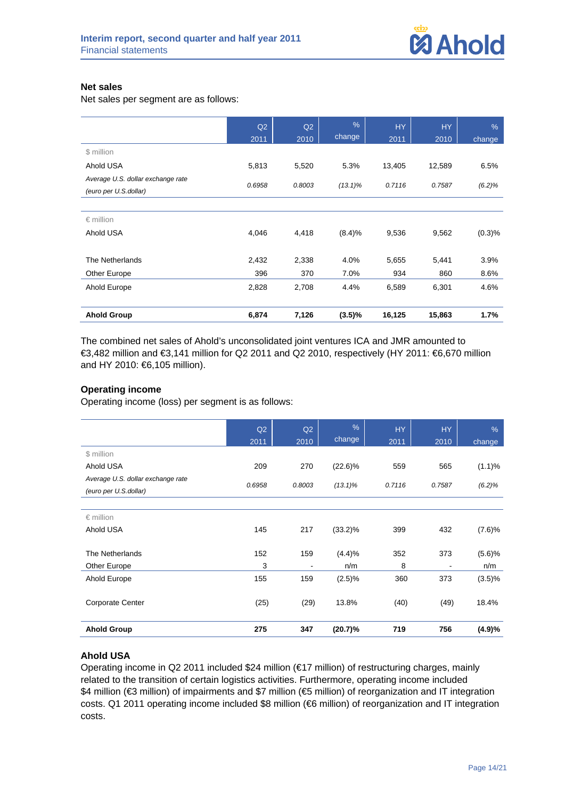#### **Net sales**

Net sales per segment are as follows:

|                                                            | Q2     | Q2     | $\frac{9}{6}$ | <b>HY</b> | <b>HY</b> | $\%$   |
|------------------------------------------------------------|--------|--------|---------------|-----------|-----------|--------|
|                                                            | 2011   | 2010   | change        | 2011      | 2010      | change |
| \$ million                                                 |        |        |               |           |           |        |
| Ahold USA                                                  | 5,813  | 5,520  | 5.3%          | 13,405    | 12,589    | 6.5%   |
| Average U.S. dollar exchange rate<br>(euro per U.S.dollar) | 0.6958 | 0.8003 | $(13.1)\%$    | 0.7116    | 0.7587    | (6.2)% |
|                                                            |        |        |               |           |           |        |
| $\epsilon$ million                                         |        |        |               |           |           |        |
| Ahold USA                                                  | 4,046  | 4,418  | (8.4)%        | 9,536     | 9,562     | (0.3)% |
| The Netherlands                                            | 2,432  | 2,338  | 4.0%          | 5,655     | 5,441     | 3.9%   |
| Other Europe                                               | 396    | 370    | 7.0%          | 934       | 860       | 8.6%   |
| Ahold Europe                                               | 2,828  | 2,708  | 4.4%          | 6,589     | 6,301     | 4.6%   |
| <b>Ahold Group</b>                                         | 6,874  | 7,126  | $(3.5)\%$     | 16,125    | 15,863    | 1.7%   |

The combined net sales of Ahold's unconsolidated joint ventures ICA and JMR amounted to €3,482 million and €3,141 million for Q2 2011 and Q2 2010, respectively (HY 2011: €6,670 million and HY 2010: €6,105 million).

## **Operating income**

Operating income (loss) per segment is as follows:

|                                                            | Q2<br>2011 | Q2<br>2010     | %<br>change | <b>HY</b><br>2011 | <b>HY</b><br>2010 | $\%$<br>change |
|------------------------------------------------------------|------------|----------------|-------------|-------------------|-------------------|----------------|
| \$ million                                                 |            |                |             |                   |                   |                |
| Ahold USA                                                  | 209        | 270            | $(22.6)\%$  | 559               | 565               | (1.1)%         |
| Average U.S. dollar exchange rate<br>(euro per U.S.dollar) | 0.6958     | 0.8003         | $(13.1)\%$  | 0.7116            | 0.7587            | (6.2)%         |
|                                                            |            |                |             |                   |                   |                |
| $\epsilon$ million                                         |            |                |             |                   |                   |                |
| Ahold USA                                                  | 145        | 217            | $(33.2)\%$  | 399               | 432               | (7.6)%         |
| The Netherlands                                            | 152        | 159            | (4.4)%      | 352               | 373               | (5.6)%         |
| Other Europe                                               | 3          | $\blacksquare$ | n/m         | 8                 | ۰                 | n/m            |
| Ahold Europe                                               | 155        | 159            | (2.5)%      | 360               | 373               | $(3.5)\%$      |
| Corporate Center                                           | (25)       | (29)           | 13.8%       | (40)              | (49)              | 18.4%          |
| <b>Ahold Group</b>                                         | 275        | 347            | (20.7)%     | 719               | 756               | (4.9)%         |

## **Ahold USA**

Operating income in Q2 2011 included \$24 million (€17 million) of restructuring charges, mainly related to the transition of certain logistics activities. Furthermore, operating income included \$4 million (€3 million) of impairments and \$7 million (€5 million) of reorganization and IT integration costs. Q1 2011 operating income included \$8 million (€6 million) of reorganization and IT integration costs.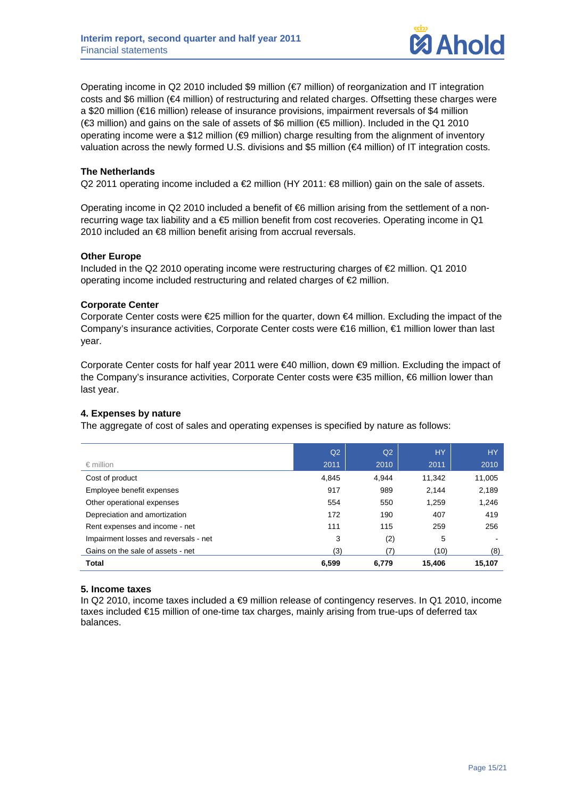

Operating income in Q2 2010 included \$9 million (€7 million) of reorganization and IT integration costs and \$6 million (€4 million) of restructuring and related charges. Offsetting these charges were a \$20 million (€16 million) release of insurance provisions, impairment reversals of \$4 million (€3 million) and gains on the sale of assets of \$6 million (€5 million). Included in the Q1 2010 operating income were a \$12 million (€9 million) charge resulting from the alignment of inventory valuation across the newly formed U.S. divisions and \$5 million (€4 million) of IT integration costs.

#### **The Netherlands**

Q2 2011 operating income included a €2 million (HY 2011: €8 million) gain on the sale of assets.

Operating income in Q2 2010 included a benefit of €6 million arising from the settlement of a nonrecurring wage tax liability and a €5 million benefit from cost recoveries. Operating income in Q1 2010 included an <sup>€</sup>8 million benefit arising from accrual reversals.

#### **Other Europe**

Included in the Q2 2010 operating income were restructuring charges of  $\epsilon$ 2 million. Q1 2010 operating income included restructuring and related charges of €2 million.

#### **Corporate Center**

Corporate Center costs were  $\epsilon$ 25 million for the quarter, down  $\epsilon$ 4 million. Excluding the impact of the Company's insurance activities, Corporate Center costs were €16 million, €1 million lower than last year.

Corporate Center costs for half year 2011 were €40 million, down €9 million. Excluding the impact of the Company's insurance activities, Corporate Center costs were €35 million, €6 million lower than last year.

## **4. Expenses by nature**

The aggregate of cost of sales and operating expenses is specified by nature as follows:

|                                       | Q <sub>2</sub> | Q <sub>2</sub> | <b>HY</b> | <b>HY</b> |
|---------------------------------------|----------------|----------------|-----------|-----------|
| $\epsilon$ million                    | 2011           | 2010           | 2011      | 2010      |
| Cost of product                       | 4.845          | 4.944          | 11.342    | 11,005    |
| Employee benefit expenses             | 917            | 989            | 2.144     | 2,189     |
| Other operational expenses            | 554            | 550            | 1,259     | 1,246     |
| Depreciation and amortization         | 172            | 190            | 407       | 419       |
| Rent expenses and income - net        | 111            | 115            | 259       | 256       |
| Impairment losses and reversals - net | 3              | (2)            | 5         |           |
| Gains on the sale of assets - net     | (3)            | (7)            | (10)      | (8)       |
| <b>Total</b>                          | 6,599          | 6,779          | 15,406    | 15.107    |

## **5. Income taxes**

In Q2 2010, income taxes included a ⊕ million release of contingency reserves. In Q1 2010, income taxes included €15 million of one-time tax charges, mainly arising from true-ups of deferred tax balances.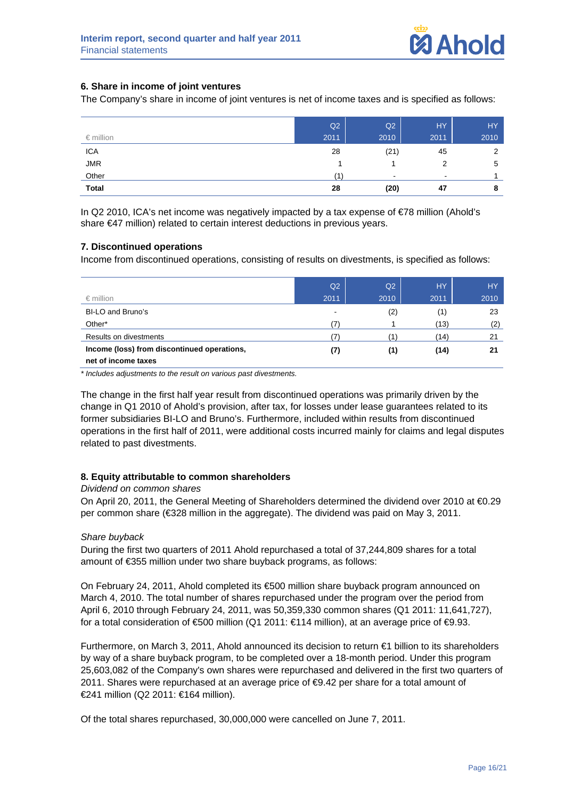## **6. Share in income of joint ventures**

The Company's share in income of joint ventures is net of income taxes and is specified as follows:

|                    | Q2   | Q2        | HY.            | HY.            |
|--------------------|------|-----------|----------------|----------------|
| $\epsilon$ million | 2011 | 2010      | 2011           | 2010           |
| <b>ICA</b>         | 28   | (21)      | 45             | $\overline{2}$ |
| <b>JMR</b>         |      |           | 2              | 5              |
| Other              | 1.   | $\,$ $\,$ | $\blacksquare$ |                |
| <b>Total</b>       | 28   | (20)      | 47             | 8              |

In Q2 2010, ICA's net income was negatively impacted by a tax expense of €78 million (Ahold's share €47 million) related to certain interest deductions in previous years.

## **7. Discontinued operations**

Income from discontinued operations, consisting of results on divestments, is specified as follows:

|                                                                    | Q <sub>2</sub>           | Q2   | <b>HY</b> | <b>HY</b> |
|--------------------------------------------------------------------|--------------------------|------|-----------|-----------|
| $\epsilon$ million                                                 | 2011                     | 2010 | 2011      | 2010      |
| BI-LO and Bruno's                                                  | $\overline{\phantom{0}}$ | (2)  | (1)       | 23        |
| Other*                                                             |                          |      | (13)      | (2)       |
| Results on divestments                                             |                          |      | (14)      | 21        |
| Income (loss) from discontinued operations,<br>net of income taxes | (7)                      | (1)  | (14)      | 21        |

*\* Includes adjustments to the result on various past divestments.* 

The change in the first half year result from discontinued operations was primarily driven by the change in Q1 2010 of Ahold's provision, after tax, for losses under lease guarantees related to its former subsidiaries BI-LO and Bruno's. Furthermore, included within results from discontinued operations in the first half of 2011, were additional costs incurred mainly for claims and legal disputes related to past divestments.

## **8. Equity attributable to common shareholders**

#### *Dividend on common shares*

On April 20, 2011, the General Meeting of Shareholders determined the dividend over 2010 at €0.29 per common share (€328 million in the aggregate). The dividend was paid on May 3, 2011.

#### *Share buyback*

During the first two quarters of 2011 Ahold repurchased a total of 37,244,809 shares for a total amount of €355 million under two share buyback programs, as follows:

On February 24, 2011, Ahold completed its €500 million share buyback program announced on March 4, 2010. The total number of shares repurchased under the program over the period from April 6, 2010 through February 24, 2011, was 50,359,330 common shares (Q1 2011: 11,641,727), for a total consideration of €500 million (Q1 2011: €114 million), at an average price of €9.93.

Furthermore, on March 3, 2011, Ahold announced its decision to return €1 billion to its shareholders by way of a share buyback program, to be completed over a 18-month period. Under this program 25,603,082 of the Company's own shares were repurchased and delivered in the first two quarters of 2011. Shares were repurchased at an average price of €9.42 per share for a total amount of €241 million (Q2 2011: €164 million).

Of the total shares repurchased, 30,000,000 were cancelled on June 7, 2011.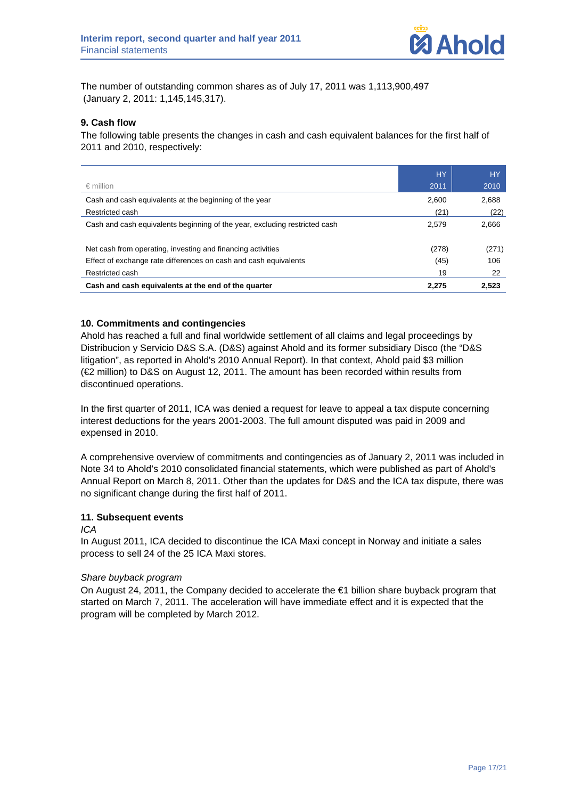The number of outstanding common shares as of July 17, 2011 was 1,113,900,497 (January 2, 2011: 1,145,145,317).

## **9. Cash flow**

The following table presents the changes in cash and cash equivalent balances for the first half of 2011 and 2010, respectively:

|                                                                            | <b>HY</b> | <b>HY</b> |
|----------------------------------------------------------------------------|-----------|-----------|
| $\epsilon$ million                                                         | 2011      | 2010      |
| Cash and cash equivalents at the beginning of the year                     | 2.600     | 2.688     |
| Restricted cash                                                            | (21)      | (22)      |
| Cash and cash equivalents beginning of the year, excluding restricted cash | 2.579     | 2.666     |
| Net cash from operating, investing and financing activities                | (278)     | (271)     |
| Effect of exchange rate differences on cash and cash equivalents           | (45)      | 106       |
| Restricted cash                                                            | 19        | 22        |
| Cash and cash equivalents at the end of the quarter                        | 2.275     | 2,523     |

#### **10. Commitments and contingencies**

Ahold has reached a full and final worldwide settlement of all claims and legal proceedings by Distribucion y Servicio D&S S.A. (D&S) against Ahold and its former subsidiary Disco (the "D&S litigation", as reported in Ahold's 2010 Annual Report). In that context, Ahold paid \$3 million (€2 million) to D&S on August 12, 2011. The amount has been recorded within results from discontinued operations.

In the first quarter of 2011, ICA was denied a request for leave to appeal a tax dispute concerning interest deductions for the years 2001-2003. The full amount disputed was paid in 2009 and expensed in 2010.

A comprehensive overview of commitments and contingencies as of January 2, 2011 was included in Note 34 to Ahold's 2010 consolidated financial statements, which were published as part of Ahold's Annual Report on March 8, 2011. Other than the updates for D&S and the ICA tax dispute, there was no significant change during the first half of 2011.

## **11. Subsequent events**

#### *ICA*

In August 2011, ICA decided to discontinue the ICA Maxi concept in Norway and initiate a sales process to sell 24 of the 25 ICA Maxi stores.

#### *Share buyback program*

On August 24, 2011, the Company decided to accelerate the €1 billion share buyback program that started on March 7, 2011. The acceleration will have immediate effect and it is expected that the program will be completed by March 2012.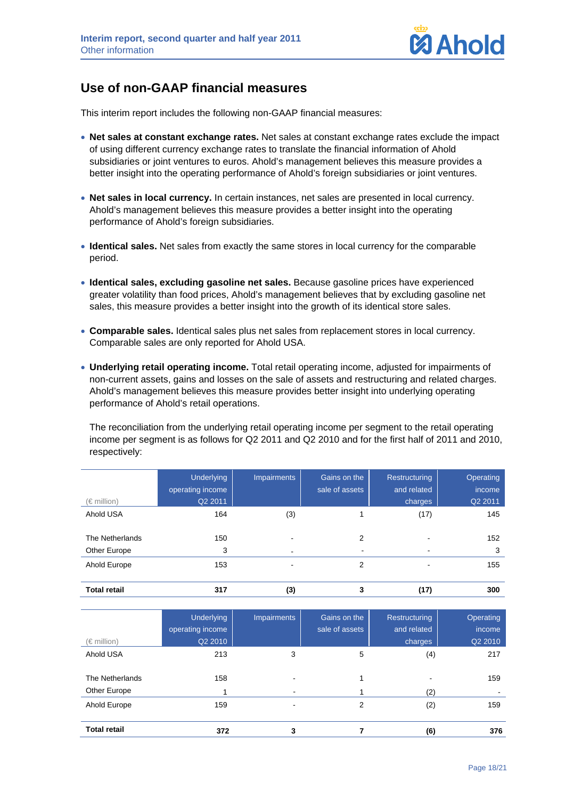

# **Use of non-GAAP financial measures**

This interim report includes the following non-GAAP financial measures:

- **Net sales at constant exchange rates.** Net sales at constant exchange rates exclude the impact of using different currency exchange rates to translate the financial information of Ahold subsidiaries or joint ventures to euros. Ahold's management believes this measure provides a better insight into the operating performance of Ahold's foreign subsidiaries or joint ventures.
- **Net sales in local currency.** In certain instances, net sales are presented in local currency. Ahold's management believes this measure provides a better insight into the operating performance of Ahold's foreign subsidiaries.
- **Identical sales.** Net sales from exactly the same stores in local currency for the comparable period.
- **Identical sales, excluding gasoline net sales.** Because gasoline prices have experienced greater volatility than food prices, Ahold's management believes that by excluding gasoline net sales, this measure provides a better insight into the growth of its identical store sales.
- **Comparable sales.** Identical sales plus net sales from replacement stores in local currency. Comparable sales are only reported for Ahold USA.
- **Underlying retail operating income.** Total retail operating income, adjusted for impairments of non-current assets, gains and losses on the sale of assets and restructuring and related charges. Ahold's management believes this measure provides better insight into underlying operating performance of Ahold's retail operations.

The reconciliation from the underlying retail operating income per segment to the retail operating income per segment is as follows for Q2 2011 and Q2 2010 and for the first half of 2011 and 2010, respectively:

| $(\in$ million)                 | <b>Underlying</b><br>operating income<br>Q2 2011 | <b>Impairments</b>                         | Gains on the<br>sale of assets | Restructuring<br>and related<br>charges | Operating<br>income<br>Q2 2011 |
|---------------------------------|--------------------------------------------------|--------------------------------------------|--------------------------------|-----------------------------------------|--------------------------------|
| Ahold USA                       | 164                                              | (3)                                        |                                | (17)                                    | 145                            |
| The Netherlands<br>Other Europe | 150<br>3                                         | $\blacksquare$<br>$\overline{\phantom{a}}$ | 2                              |                                         | 152<br>3                       |
| Ahold Europe                    | 153                                              | $\blacksquare$                             | 2                              |                                         | 155                            |
| <b>Total retail</b>             | 317                                              | (3)                                        | 3                              | (17)                                    | 300                            |

| $(\in$ million)                 | <b>Underlying</b><br>operating income<br>Q2 2010 | <b>Impairments</b>                                   | <b>Gains</b> on the<br>sale of assets | Restructuring<br>and related<br>charges | Operating<br>income<br>Q2 2010 |
|---------------------------------|--------------------------------------------------|------------------------------------------------------|---------------------------------------|-----------------------------------------|--------------------------------|
| Ahold USA                       | 213                                              | 3                                                    | 5                                     | (4)                                     | 217                            |
| The Netherlands<br>Other Europe | 158                                              | $\overline{\phantom{0}}$<br>$\overline{\phantom{a}}$ |                                       | -<br>(2)                                | 159                            |
| Ahold Europe                    | 159                                              | ۰                                                    | 2                                     | (2)                                     | 159                            |
| <b>Total retail</b>             | 372                                              | 3                                                    |                                       | (6)                                     | 376                            |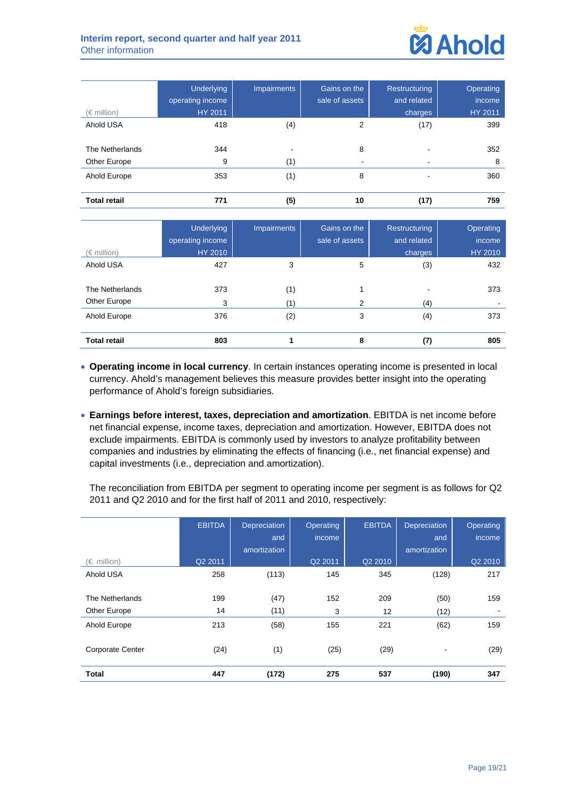

| $(\in$ million)     | <b>Underlying</b><br>operating income<br>HY 2011 | <b>Impairments</b> | Gains on the<br>sale of assets | Restructuring<br>and related<br>charges | Operating<br>income<br>HY 2011 |
|---------------------|--------------------------------------------------|--------------------|--------------------------------|-----------------------------------------|--------------------------------|
| Ahold USA           | 418                                              | (4)                | 2                              | (17)                                    | 399                            |
| The Netherlands     | 344                                              | $\blacksquare$     | 8                              |                                         | 352                            |
| Other Europe        | 9                                                | (1)                |                                | $\overline{\phantom{a}}$                | 8                              |
| Ahold Europe        | 353                                              | (1)                | 8                              |                                         | 360                            |
| <b>Total retail</b> | 771                                              | (5)                | 10                             | (17)                                    | 759                            |

| $(\in$ million)                 | <b>Underlying</b><br>operating income<br><b>HY 2010</b> | <b>Impairments</b> | Gains on the<br>sale of assets | Restructuring<br>and related<br>charges | Operating<br>income<br>HY 2010 |
|---------------------------------|---------------------------------------------------------|--------------------|--------------------------------|-----------------------------------------|--------------------------------|
| Ahold USA                       | 427                                                     | 3                  | 5                              | (3)                                     | 432                            |
| The Netherlands<br>Other Europe | 373<br>3                                                | (1)<br>(1)         | 2                              | (4)                                     | 373                            |
| Ahold Europe                    | 376                                                     | (2)                | 3                              | (4)                                     | 373                            |
| <b>Total retail</b>             | 803                                                     |                    | 8                              | (7)                                     | 805                            |

- **Operating income in local currency**. In certain instances operating income is presented in local currency. Ahold's management believes this measure provides better insight into the operating performance of Ahold's foreign subsidiaries.
- **Earnings before interest, taxes, depreciation and amortization**. EBITDA is net income before net financial expense, income taxes, depreciation and amortization. However, EBITDA does not exclude impairments. EBITDA is commonly used by investors to analyze profitability between companies and industries by eliminating the effects of financing (i.e., net financial expense) and capital investments (i.e., depreciation and amortization).

The reconciliation from EBITDA per segment to operating income per segment is as follows for Q2 2011 and Q2 2010 and for the first half of 2011 and 2010, respectively:

|                         | <b>EBITDA</b> | <b>Depreciation</b><br>and<br>amortization | <b>Operating</b><br>income | <b>EBITDA</b> | <b>Depreciation</b><br>and<br>amortization | Operating<br>income |
|-------------------------|---------------|--------------------------------------------|----------------------------|---------------|--------------------------------------------|---------------------|
| $(\in$ million)         | Q2 2011       |                                            | Q2 2011                    | Q2 2010       |                                            | Q2 2010             |
| Ahold USA               | 258           | (113)                                      | 145                        | 345           | (128)                                      | 217                 |
|                         |               |                                            |                            |               |                                            |                     |
| The Netherlands         | 199           | (47)                                       | 152                        | 209           | (50)                                       | 159                 |
| Other Europe            | 14            | (11)                                       | 3                          | 12            | (12)                                       |                     |
| Ahold Europe            | 213           | (58)                                       | 155                        | 221           | (62)                                       | 159                 |
| <b>Corporate Center</b> | (24)          | (1)                                        | (25)                       | (29)          |                                            | (29)                |
|                         |               |                                            |                            |               |                                            |                     |
| <b>Total</b>            | 447           | (172)                                      | 275                        | 537           | (190)                                      | 347                 |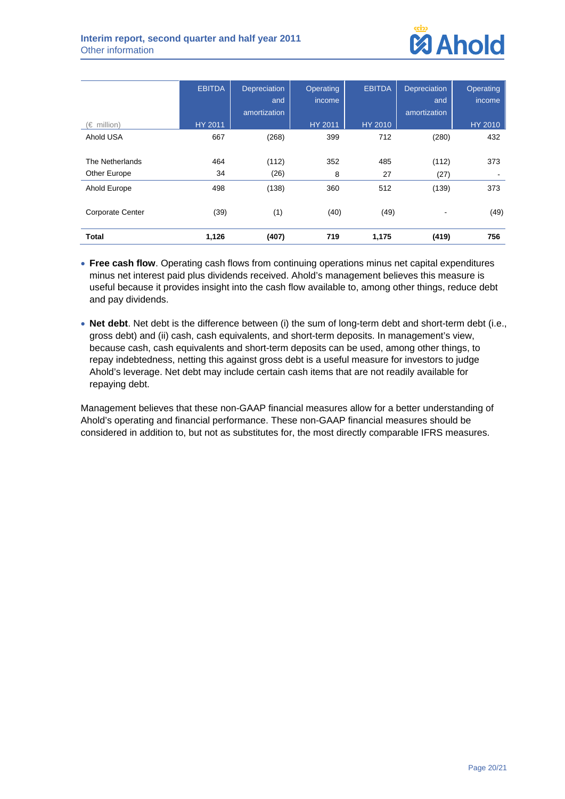

|                         | <b>EBITDA</b>  | <b>Depreciation</b><br>and | Operating<br>income | <b>EBITDA</b>  | <b>Depreciation</b><br>and | Operating<br>income |
|-------------------------|----------------|----------------------------|---------------------|----------------|----------------------------|---------------------|
|                         |                | amortization               |                     |                | amortization               |                     |
| $(\in$ million)         | <b>HY 2011</b> |                            | HY 2011             | <b>HY 2010</b> |                            | <b>HY 2010</b>      |
| Ahold USA               | 667            | (268)                      | 399                 | 712            | (280)                      | 432                 |
|                         |                |                            |                     |                |                            |                     |
| The Netherlands         | 464            | (112)                      | 352                 | 485            | (112)                      | 373                 |
| Other Europe            | 34             | (26)                       | 8                   | 27             | (27)                       |                     |
| Ahold Europe            | 498            | (138)                      | 360                 | 512            | (139)                      | 373                 |
| <b>Corporate Center</b> | (39)           | (1)                        | (40)                | (49)           |                            | (49)                |
| <b>Total</b>            | 1,126          | (407)                      | 719                 | 1,175          | (419)                      | 756                 |

- **Free cash flow**. Operating cash flows from continuing operations minus net capital expenditures minus net interest paid plus dividends received. Ahold's management believes this measure is useful because it provides insight into the cash flow available to, among other things, reduce debt and pay dividends.
- **Net debt**. Net debt is the difference between (i) the sum of long-term debt and short-term debt (i.e., gross debt) and (ii) cash, cash equivalents, and short-term deposits. In management's view, because cash, cash equivalents and short-term deposits can be used, among other things, to repay indebtedness, netting this against gross debt is a useful measure for investors to judge Ahold's leverage. Net debt may include certain cash items that are not readily available for repaying debt.

Management believes that these non-GAAP financial measures allow for a better understanding of Ahold's operating and financial performance. These non-GAAP financial measures should be considered in addition to, but not as substitutes for, the most directly comparable IFRS measures.